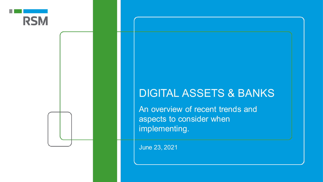

## DIGITAL ASSETS & BANKS

An overview of recent trends and aspects to consider when implementing.

June 23, 2021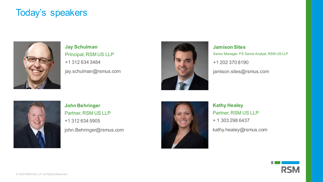#### Today's speakers



+1 312 634 3484 jay.schulman@rsmus.com **Jay Schulman** Principal, RSM US LLP



+1 202 370 8190 jamison.sites@rsmus.com **Jamison Sites** Senior Manager, FS Senior Analyst, RSM US LLP



+1 312 634 5905 john.Behringer@rsmus.com **John Behringer** Partner, RSM US LLP



+ 1 303 298 6437 kathy.healey@rsmus.com **Kathy Healey** Partner, RSM US LLP

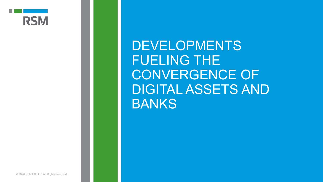

DEVELOPMENTS FUELING THE CONVERGENCE OF DIGITAL ASSETS AND **BANKS**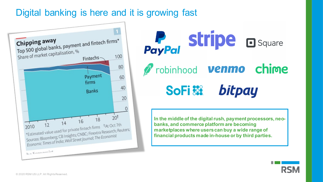### Digital banking is here and it is growing fast



PayPal Stripe a Square *Probinhood* **venmo** chime SoFi see bitpay

**In the middle of the digital rush, payment processors, neobanks, and commerce platform are becoming marketplaces where users can buy a wide range of financial products made in-house or by third parties.** 

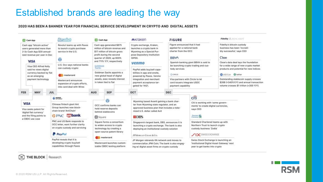#### Established brands are leading the way

#### 2020 HAS BEEN A BANNER YEAR FOR FINANCIAL SERVICE DEVELOPMENT IN CRYPTO AND DIGITAL ASSETS





DCM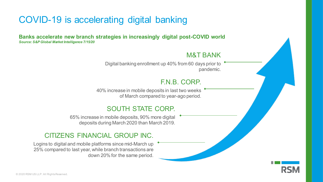### COVID-19 is accelerating digital banking

**Banks accelerate new branch strategies in increasingly digital post-COVID world** *Source: S&P Global Market Intelligence 7/15/20*

#### M&T BANK

Digital banking enrollment up 40% from 60 days prior to pandemic.

#### F.N.B. CORP.

40% increase in mobile deposits in last two weeks of March compared to year-ago period.

#### SOUTH STATE CORP.

65% increase in mobile deposits, 90% more digital deposits during March 2020 than March 2019.

#### CITIZENS FINANCIAL GROUP INC.

Logins to digital and mobile platforms since mid-March up 25% compared to last year, while branch transactions are down 20% for the same period.

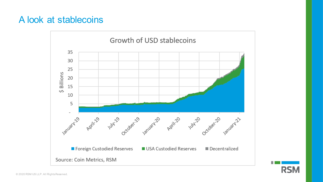#### A look at stablecoins



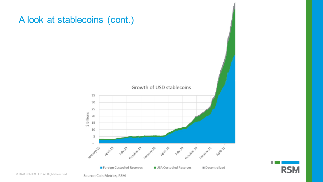

# A look at stablecoins (cont.)

Source: Coin Metrics, RSM

**RSM**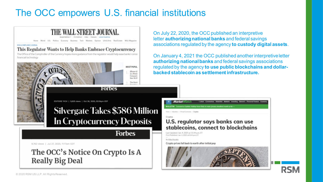### The OCC empowers U.S. financial institutions



On July 22, 2020, the OCC published an interpretive letter **authorizing national banks** and federal savings associations regulated by the agency **to custody digital assets**.

On January 4, 2021 the OCC published another interpretive letter **authorizing national banks** and federal savings associations regulated by the agency **to use public blockchains and dollarbacked stablecoin as settlement infrastructure.** 

#### U.S. regulator says banks can use stablecoins, connect to blockchains

Last Updated: Jan. 4, 2021 at 11:44 p.m. ET First Published: Jan. 4, 2021 at 8:44 p.m. ET

**Market**Watch

By Mike Muraty

Crypto prices fall back to earth after initial pop

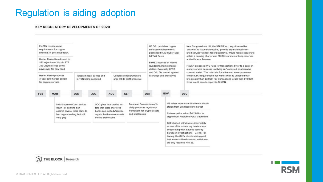## Regulation is aiding adoption

#### **KEY REGULATORY DEVELOPMENTS OF 2020**





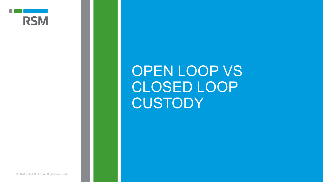

# OPEN LOOP VS CLOSED LOOP **CUSTODY**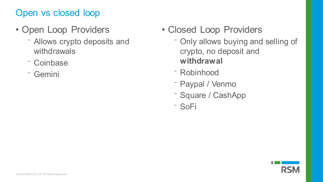## Open vs closed loop

- Open Loop Providers
	- Allows crypto deposits and withdrawals
	- ⁻ Coinbase
	- ⁻ Gemini
- Closed Loop Providers
	- Only allows buying and selling of crypto, no deposit and **withdrawal**
	- ⁻ Robinhood
	- Paypal / Venmo
	- Square / CashApp
	- ⁻ SoFi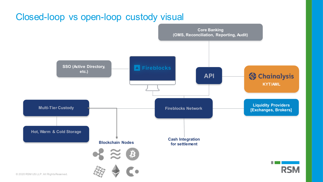### Closed-loop vs open-loop custody visual

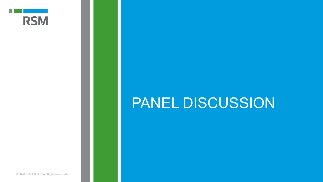

# PANEL DISCUSSION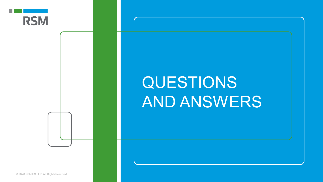

# QUESTIONS AND ANSWERS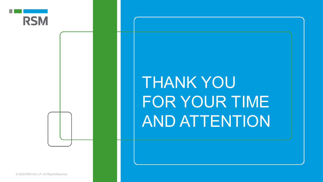

# THANK YOU FOR YOUR TIME AND ATTENTION